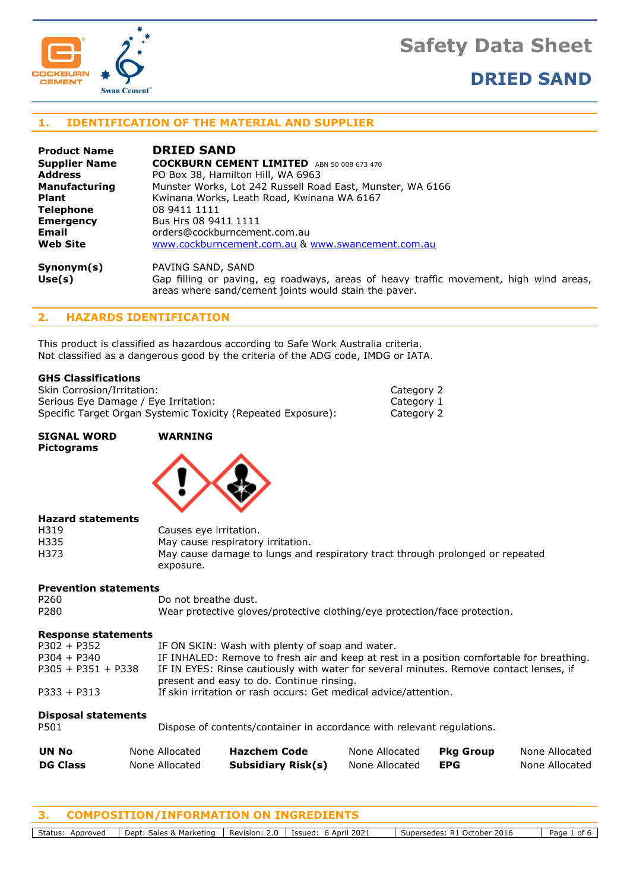# **Safety Data Sheet**





# **1. IDENTIFICATION OF THE MATERIAL AND SUPPLIER**

| <b>Product Name</b>  | <b>DRIED SAND</b>                                                                     |  |  |  |  |
|----------------------|---------------------------------------------------------------------------------------|--|--|--|--|
| <b>Supplier Name</b> | <b>COCKBURN CEMENT LIMITED</b><br>ABN 50 008 673 470                                  |  |  |  |  |
| <b>Address</b>       | PO Box 38, Hamilton Hill, WA 6963                                                     |  |  |  |  |
| <b>Manufacturing</b> | Munster Works, Lot 242 Russell Road East, Munster, WA 6166                            |  |  |  |  |
| <b>Plant</b>         | Kwinana Works, Leath Road, Kwinana WA 6167                                            |  |  |  |  |
| Telephone            | 08 9411 1111                                                                          |  |  |  |  |
| <b>Emergency</b>     | Bus Hrs 08 9411 1111                                                                  |  |  |  |  |
| Email                | orders@cockburncement.com.au                                                          |  |  |  |  |
| <b>Web Site</b>      | www.cockburncement.com.au & www.swancement.com.au                                     |  |  |  |  |
| Symonym(s)           | PAVING SAND, SAND                                                                     |  |  |  |  |
| Use(s)               | Gap filling or paving, eg roadways, areas of heavy traffic movement, high wind areas, |  |  |  |  |

Category 2 Category 1 Category 2

areas where sand/cement joints would stain the paver.

# **2. HAZARDS IDENTIFICATION**

This product is classified as hazardous according to Safe Work Australia criteria. Not classified as a dangerous good by the criteria of the ADG code, IMDG or IATA.

# **GHS Classifications**

| Skin Corrosion/Irritation:                                   |
|--------------------------------------------------------------|
| Serious Eye Damage / Eye Irritation:                         |
| Specific Target Organ Systemic Toxicity (Repeated Exposure): |

| SIGNAL WORD |  |
|-------------|--|
| Pictograms  |  |

# **WARNING**



| <b>Hazard statements</b> |                                                                               |
|--------------------------|-------------------------------------------------------------------------------|
| H319                     | Causes eye irritation.                                                        |
| H335                     | May cause respiratory irritation.                                             |
| H373                     | May cause damage to lungs and respiratory tract through prolonged or repeated |
|                          | exposure.                                                                     |

### **Prevention statements**

| P260                       |                | Do not breathe dust.                                                                                                                |                |                  |                |  |
|----------------------------|----------------|-------------------------------------------------------------------------------------------------------------------------------------|----------------|------------------|----------------|--|
| P280                       |                | Wear protective gloves/protective clothing/eye protection/face protection.                                                          |                |                  |                |  |
| <b>Response statements</b> |                |                                                                                                                                     |                |                  |                |  |
| $P302 + P352$              |                | IF ON SKIN: Wash with plenty of soap and water.                                                                                     |                |                  |                |  |
| $P304 + P340$              |                | IF INHALED: Remove to fresh air and keep at rest in a position comfortable for breathing.                                           |                |                  |                |  |
| $P305 + P351 + P338$       |                | IF IN EYES: Rinse cautiously with water for several minutes. Remove contact lenses, if<br>present and easy to do. Continue rinsing. |                |                  |                |  |
| $P333 + P313$              |                | If skin irritation or rash occurs: Get medical advice/attention.                                                                    |                |                  |                |  |
| <b>Disposal statements</b> |                |                                                                                                                                     |                |                  |                |  |
| P501                       |                | Dispose of contents/container in accordance with relevant regulations.                                                              |                |                  |                |  |
| UN No                      | None Allocated | <b>Hazchem Code</b>                                                                                                                 | None Allocated | <b>Pkg Group</b> | None Allocated |  |
| <b>DG Class</b>            | None Allocated | Subsidiary Risk(s)                                                                                                                  | None Allocated | <b>EPG</b>       | None Allocated |  |

**3. COMPOSITION/INFORMATION ON INGREDIENTS**

Status: Approved | Dept: Sales & Marketing | Revision: 2.0 | Issued: 6 April 2021 | Supersedes: R1 October 2016 | Page 1 of 6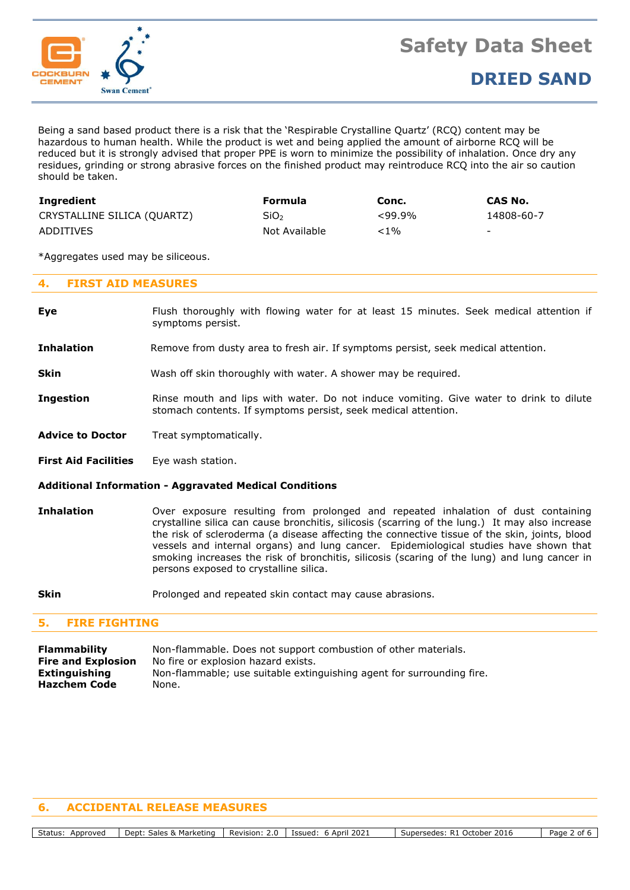

Being a sand based product there is a risk that the 'Respirable Crystalline Quartz' (RCQ) content may be hazardous to human health. While the product is wet and being applied the amount of airborne RCQ will be reduced but it is strongly advised that proper PPE is worn to minimize the possibility of inhalation. Once dry any residues, grinding or strong abrasive forces on the finished product may reintroduce RCQ into the air so caution should be taken.

| Ingredient                  | Formula          | Conc.     | CAS No.    |
|-----------------------------|------------------|-----------|------------|
| CRYSTALLINE SILICA (QUARTZ) | SiO <sub>2</sub> | $<99.9\%$ | 14808-60-7 |
| ADDITIVES                   | Not Available    | <1%       | -          |

\*Aggregates used may be siliceous.

# **4. FIRST AID MEASURES**

- **Eye** Flush thoroughly with flowing water for at least 15 minutes. Seek medical attention if symptoms persist.
- **Inhalation** Remove from dusty area to fresh air. If symptoms persist, seek medical attention.
- **Skin** Wash off skin thoroughly with water. A shower may be required.
- **Ingestion** Rinse mouth and lips with water. Do not induce vomiting. Give water to drink to dilute stomach contents. If symptoms persist, seek medical attention.
- **Advice to Doctor** Treat symptomatically.
- **First Aid Facilities** Eye wash station.

### **Additional Information - Aggravated Medical Conditions**

- **Inhalation** Over exposure resulting from prolonged and repeated inhalation of dust containing crystalline silica can cause bronchitis, silicosis (scarring of the lung.) It may also increase the risk of scleroderma (a disease affecting the connective tissue of the skin, joints, blood vessels and internal organs) and lung cancer. Epidemiological studies have shown that smoking increases the risk of bronchitis, silicosis (scaring of the lung) and lung cancer in persons exposed to crystalline silica.
- **Skin** Prolonged and repeated skin contact may cause abrasions.

# **5. FIRE FIGHTING**

**Flammability** Non-flammable. Does not support combustion of other materials. **Fire and Explosion** No fire or explosion hazard exists. **Extinguishing** Non-flammable; use suitable extinguishing agent for surrounding fire. **Hazchem Code** None.

# **6. ACCIDENTAL RELEASE MEASURES**

Status: Approved | Dept: Sales & Marketing | Revision: 2.0 | Issued: 6 April 2021 | Supersedes: R1 October 2016 | Page 2 of 6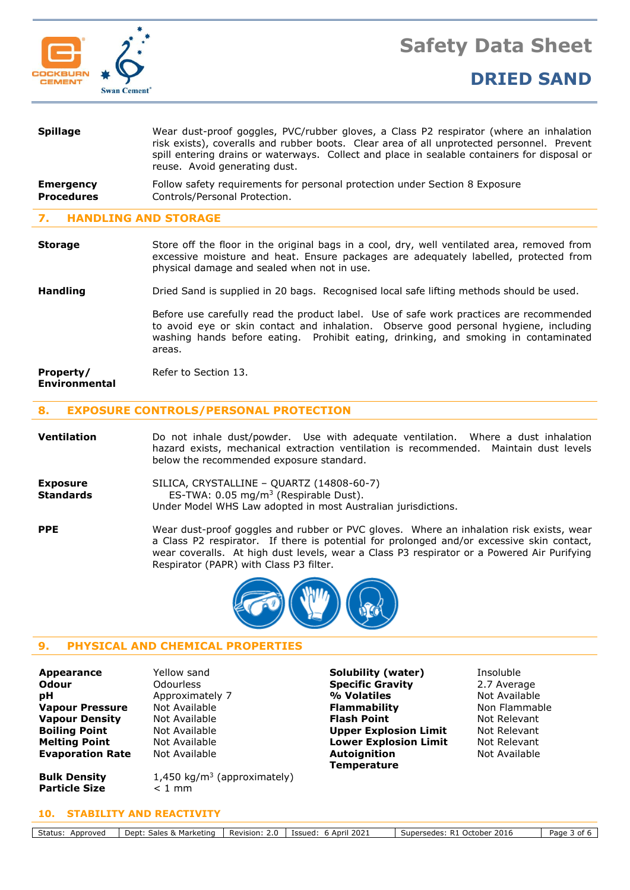



| Wear dust-proof goggles, PVC/rubber gloves, a Class P2 respirator (where an inhalation<br>risk exists), coveralls and rubber boots. Clear area of all unprotected personnel. Prevent<br>spill entering drains or waterways. Collect and place in sealable containers for disposal or<br>reuse. Avoid generating dust. |
|-----------------------------------------------------------------------------------------------------------------------------------------------------------------------------------------------------------------------------------------------------------------------------------------------------------------------|
| Follow safety requirements for personal protection under Section 8 Exposure<br>Controls/Personal Protection.                                                                                                                                                                                                          |
|                                                                                                                                                                                                                                                                                                                       |

# **7. HANDLING AND STORAGE**

**Storage** Store off the floor in the original bags in a cool, dry, well ventilated area, removed from excessive moisture and heat. Ensure packages are adequately labelled, protected from physical damage and sealed when not in use.

### **Handling** Dried Sand is supplied in 20 bags. Recognised local safe lifting methods should be used.

Before use carefully read the product label. Use of safe work practices are recommended to avoid eye or skin contact and inhalation. Observe good personal hygiene, including washing hands before eating. Prohibit eating, drinking, and smoking in contaminated areas.

#### **Property/** Refer to Section 13. **Environmental**

### **8. EXPOSURE CONTROLS/PERSONAL PROTECTION**

**Ventilation** Do not inhale dust/powder. Use with adequate ventilation. Where a dust inhalation hazard exists, mechanical extraction ventilation is recommended. Maintain dust levels below the recommended exposure standard.

| <b>Exposure</b>                                                      | SILICA, CRYSTALLINE - QUARTZ (14808-60-7)                     |  |  |
|----------------------------------------------------------------------|---------------------------------------------------------------|--|--|
| ES-TWA: $0.05 \text{ mg/m}^3$ (Respirable Dust).<br><b>Standards</b> |                                                               |  |  |
|                                                                      | Under Model WHS Law adopted in most Australian jurisdictions. |  |  |

**PPE** Wear dust-proof goggles and rubber or PVC gloves. Where an inhalation risk exists, wear a Class P2 respirator. If there is potential for prolonged and/or excessive skin contact, wear coveralls. At high dust levels, wear a Class P3 respirator or a Powered Air Purifying Respirator (PAPR) with Class P3 filter.



# **9. PHYSICAL AND CHEMICAL PROPERTIES**

**Bulk Density** 1,450 kg/m<sup>3</sup> (approximately)

| Appearance              |
|-------------------------|
| Odour                   |
| рH                      |
| <b>Vapour Pressure</b>  |
| <b>Vapour Density</b>   |
| <b>Boiling Point</b>    |
| <b>Melting Point</b>    |
| <b>Evaporation Rate</b> |
|                         |

**Evaporation Rate** Not Available **Autoignition** 

**Appearance** Yellow sand **Solubility (water)** Insoluble **Odourless The Specific Gravity 2.7 Average** Approximately 7 **4 Million Control 1 Million Volatiles** Not Available **Not Available <b>Flammability** Non Flammable **Not Available <b>Flash Point Flash Point** Not Relevant **Book Available <b>Boiling Point** Upper Explosion Limit Not Relevant **Melting Point** Not Available **Lower Explosion Limit** Not Relevant **Temperature**

Not Available

**10. STABILITY AND REACTIVITY**

**Particle Size**  $\lt 1$  mm

Status: Approved Dept: Sales & Marketing Revision: 2.0 | Issued: 6 April 2021 | Supersedes: R1 October 2016 | Page 3 of 6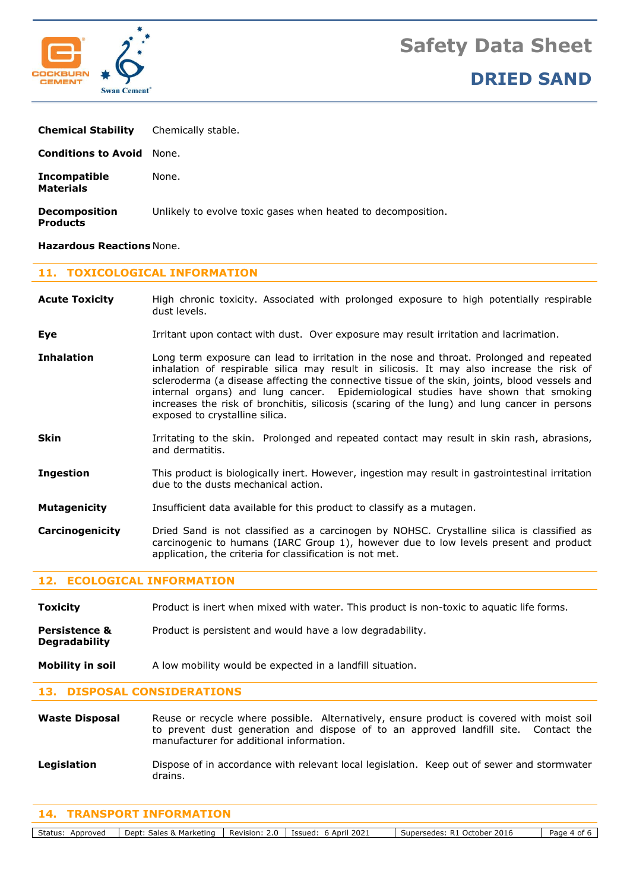



| <b>Chemical Stability</b>               | Chemically stable.                                           |
|-----------------------------------------|--------------------------------------------------------------|
| <b>Conditions to Avoid</b> None.        |                                                              |
| Incompatible<br><b>Materials</b>        | None.                                                        |
| <b>Decomposition</b><br><b>Products</b> | Unlikely to evolve toxic gases when heated to decomposition. |

### **Hazardous Reactions** None.

### **11. TOXICOLOGICAL INFORMATION**

- **Acute Toxicity** High chronic toxicity. Associated with prolonged exposure to high potentially respirable dust levels.
- **Eye I**rritant upon contact with dust. Over exposure may result irritation and lacrimation.
- **Inhalation** Long term exposure can lead to irritation in the nose and throat. Prolonged and repeated inhalation of respirable silica may result in silicosis. It may also increase the risk of scleroderma (a disease affecting the connective tissue of the skin, joints, blood vessels and internal organs) and lung cancer. Epidemiological studies have shown that smoking increases the risk of bronchitis, silicosis (scaring of the lung) and lung cancer in persons exposed to crystalline silica.
- **Skin** Irritating to the skin. Prolonged and repeated contact may result in skin rash, abrasions, and dermatitis.
- **Ingestion** This product is biologically inert. However, ingestion may result in gastrointestinal irritation due to the dusts mechanical action.
- **Mutagenicity** Insufficient data available for this product to classify as a mutagen.
- **Carcinogenicity** Dried Sand is not classified as a carcinogen by NOHSC. Crystalline silica is classified as carcinogenic to humans (IARC Group 1), however due to low levels present and product application, the criteria for classification is not met.

# **12. ECOLOGICAL INFORMATION**

**Toxicity** Product is inert when mixed with water. This product is non-toxic to aquatic life forms.

- **Persistence &** Product is persistent and would have a low degradability. **Degradability**
- **Mobility in soil** A low mobility would be expected in a landfill situation.

### **13. DISPOSAL CONSIDERATIONS**

**Waste Disposal** Reuse or recycle where possible. Alternatively, ensure product is covered with moist soil to prevent dust generation and dispose of to an approved landfill site. Contact the manufacturer for additional information.

**Legislation** Dispose of in accordance with relevant local legislation. Keep out of sewer and stormwater drains.

### **14. TRANSPORT INFORMATION**

Status: Approved Dept: Sales & Marketing Revision: 2.0 | Issued: 6 April 2021 | Supersedes: R1 October 2016 | Page 4 of 6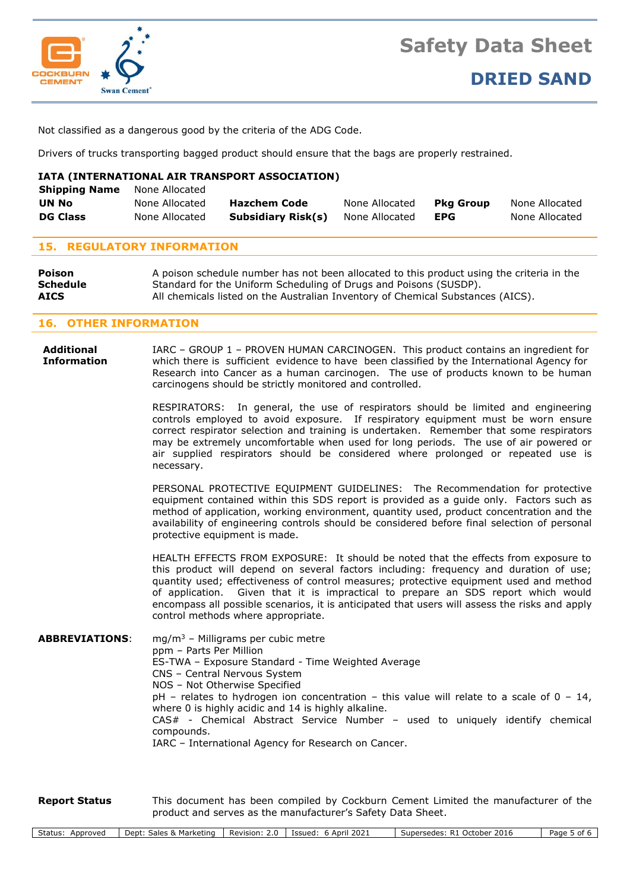

Not classified as a dangerous good by the criteria of the ADG Code.

Drivers of trucks transporting bagged product should ensure that the bags are properly restrained.

# **IATA (INTERNATIONAL AIR TRANSPORT ASSOCIATION)**

| <b>Shipping Name</b> | None Allocated |                     |                |                  |                |
|----------------------|----------------|---------------------|----------------|------------------|----------------|
| UN No                | None Allocated | <b>Hazchem Code</b> | None Allocated | <b>Pka Group</b> | None Allocated |
| <b>DG Class</b>      | None Allocated | Subsidiary Risk(s)  | None Allocated | EPG              | None Allocated |

# **15. REGULATORY INFORMATION**

| Poison      | A poison schedule number has not been allocated to this product using the criteria in the |
|-------------|-------------------------------------------------------------------------------------------|
| Schedule    | Standard for the Uniform Scheduling of Drugs and Poisons (SUSDP).                         |
| <b>AICS</b> | All chemicals listed on the Australian Inventory of Chemical Substances (AICS).           |

# **16. OTHER INFORMATION**

**Additional** IARC – GROUP 1 – PROVEN HUMAN CARCINOGEN. This product contains an ingredient for **Information** which there is sufficient evidence to have been classified by the International Agency for Research into Cancer as a human carcinogen. The use of products known to be human carcinogens should be strictly monitored and controlled.

> RESPIRATORS: In general, the use of respirators should be limited and engineering controls employed to avoid exposure. If respiratory equipment must be worn ensure correct respirator selection and training is undertaken. Remember that some respirators may be extremely uncomfortable when used for long periods. The use of air powered or air supplied respirators should be considered where prolonged or repeated use is necessary.

> PERSONAL PROTECTIVE EQUIPMENT GUIDELINES: The Recommendation for protective equipment contained within this SDS report is provided as a guide only. Factors such as method of application, working environment, quantity used, product concentration and the availability of engineering controls should be considered before final selection of personal protective equipment is made.

> HEALTH EFFECTS FROM EXPOSURE: It should be noted that the effects from exposure to this product will depend on several factors including: frequency and duration of use; quantity used; effectiveness of control measures; protective equipment used and method of application. Given that it is impractical to prepare an SDS report which would encompass all possible scenarios, it is anticipated that users will assess the risks and apply control methods where appropriate.

**ABBREVIATIONS**: mg/m<sup>3</sup> – Milligrams per cubic metre ppm – Parts Per Million ES-TWA – Exposure Standard - Time Weighted Average CNS – Central Nervous System NOS – Not Otherwise Specified  $pH$  – relates to hydrogen ion concentration – this value will relate to a scale of  $0 - 14$ , where 0 is highly acidic and 14 is highly alkaline. CAS# - Chemical Abstract Service Number – used to uniquely identify chemical compounds. IARC – International Agency for Research on Cancer.

**Report Status** This document has been compiled by Cockburn Cement Limited the manufacturer of the product and serves as the manufacturer's Safety Data Sheet.